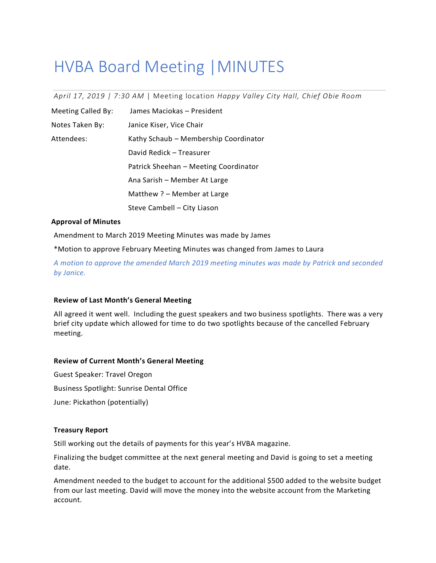# HVBA Board Meeting |MINUTES

*April 17, 2019 | 7:30 AM* | Meeting location *Happy Valley City Hall, Chief Obie Room*

| <b>Meeting Called By:</b> | James Maciokas - President            |
|---------------------------|---------------------------------------|
| Notes Taken By:           | Janice Kiser, Vice Chair              |
| Attendees:                | Kathy Schaub - Membership Coordinator |
|                           | David Redick - Treasurer              |
|                           | Patrick Sheehan - Meeting Coordinator |
|                           | Ana Sarish - Member At Large          |
|                           | Matthew ? – Member at Large           |
|                           | Steve Cambell - City Liason           |

#### **Approval of Minutes**

Amendment to March 2019 Meeting Minutes was made by James

\*Motion to approve February Meeting Minutes was changed from James to Laura

*A motion to approve the amended March 2019 meeting minutes was made by Patrick and seconded by Janice.*

# **Review of Last Month's General Meeting**

All agreed it went well. Including the guest speakers and two business spotlights. There was a very brief city update which allowed for time to do two spotlights because of the cancelled February meeting.

# **Review of Current Month's General Meeting**

Guest Speaker: Travel Oregon Business Spotlight: Sunrise Dental Office June: Pickathon (potentially)

# **Treasury Report**

Still working out the details of payments for this year's HVBA magazine.

Finalizing the budget committee at the next general meeting and David is going to set a meeting date.

Amendment needed to the budget to account for the additional \$500 added to the website budget from our last meeting. David will move the money into the website account from the Marketing account.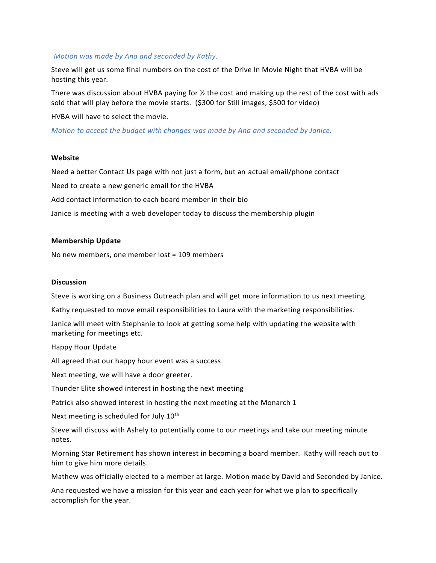#### *Motion was made by Ana and seconded by Kathy.*

Steve will get us some final numbers on the cost of the Drive In Movie Night that HVBA will be hosting this year.

There was discussion about HVBA paying for  $\frac{1}{2}$  the cost and making up the rest of the cost with ads sold that will play before the movie starts. (\$300 for Still images, \$500 for video)

HVBA will have to select the movie.

*Motion to accept the budget with changes was made by Ana and seconded by Janice.*

#### **Website**

Need a better Contact Us page with not just a form, but an actual email/phone contact Need to create a new generic email for the HVBA Add contact information to each board member in their bio Janice is meeting with a web developer today to discuss the membership plugin

# **Membership Update**

No new members, one member lost = 109 members

#### **Discussion**

Steve is working on a Business Outreach plan and will get more information to us next meeting.

Kathy requested to move email responsibilities to Laura with the marketing responsibilities.

Janice will meet with Stephanie to look at getting some help with updating the website with marketing for meetings etc.

Happy Hour Update

All agreed that our happy hour event was a success.

Next meeting, we will have a door greeter.

Thunder Elite showed interest in hosting the next meeting

Patrick also showed interest in hosting the next meeting at the Monarch 1

Next meeting is scheduled for July 10<sup>th</sup>

Steve will discuss with Ashely to potentially come to our meetings and take our meeting minute notes.

Morning Star Retirement has shown interest in becoming a board member. Kathy will reach out to him to give him more details.

Mathew was officially elected to a member at large. Motion made by David and Seconded by Janice.

Ana requested we have a mission for this year and each year for what we plan to specifically accomplish for the year.